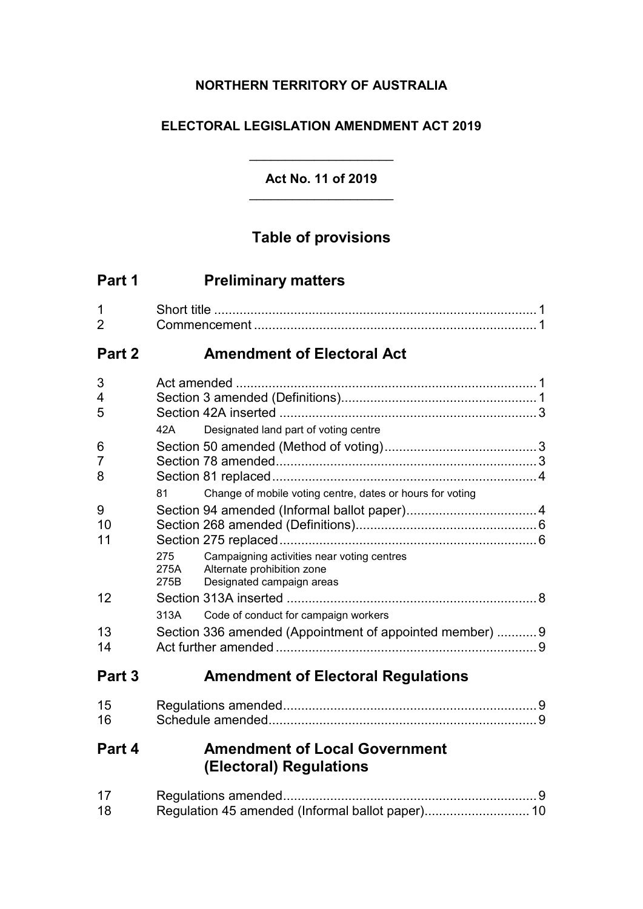## **NORTHERN TERRITORY OF AUSTRALIA**

### **ELECTORAL LEGISLATION AMENDMENT ACT 2019**

**Act No. 11 of 2019**

\_\_\_\_\_\_\_\_\_\_\_\_\_\_\_\_\_\_\_\_

## **Table of provisions**

| Part 1              | <b>Preliminary matters</b>                                                                                            |  |
|---------------------|-----------------------------------------------------------------------------------------------------------------------|--|
| 1<br>$\overline{2}$ |                                                                                                                       |  |
| Part 2              | <b>Amendment of Electoral Act</b>                                                                                     |  |
| 3                   |                                                                                                                       |  |
| 4                   |                                                                                                                       |  |
| 5                   | Designated land part of voting centre<br>42A                                                                          |  |
| 6                   |                                                                                                                       |  |
| 7                   |                                                                                                                       |  |
| 8                   |                                                                                                                       |  |
|                     | Change of mobile voting centre, dates or hours for voting<br>81                                                       |  |
| 9                   |                                                                                                                       |  |
| 10                  |                                                                                                                       |  |
| 11                  | 275                                                                                                                   |  |
|                     | Campaigning activities near voting centres<br>Alternate prohibition zone<br>275A<br>Designated campaign areas<br>275B |  |
| 12                  |                                                                                                                       |  |
|                     | Code of conduct for campaign workers<br>313A                                                                          |  |
| 13                  | Section 336 amended (Appointment of appointed member)  9                                                              |  |
| 14                  |                                                                                                                       |  |
| Part 3              | <b>Amendment of Electoral Regulations</b>                                                                             |  |
| 15                  |                                                                                                                       |  |
| 16                  |                                                                                                                       |  |
| Part 4              | <b>Amendment of Local Government</b><br>(Electoral) Regulations                                                       |  |
| 17                  |                                                                                                                       |  |
| 18                  |                                                                                                                       |  |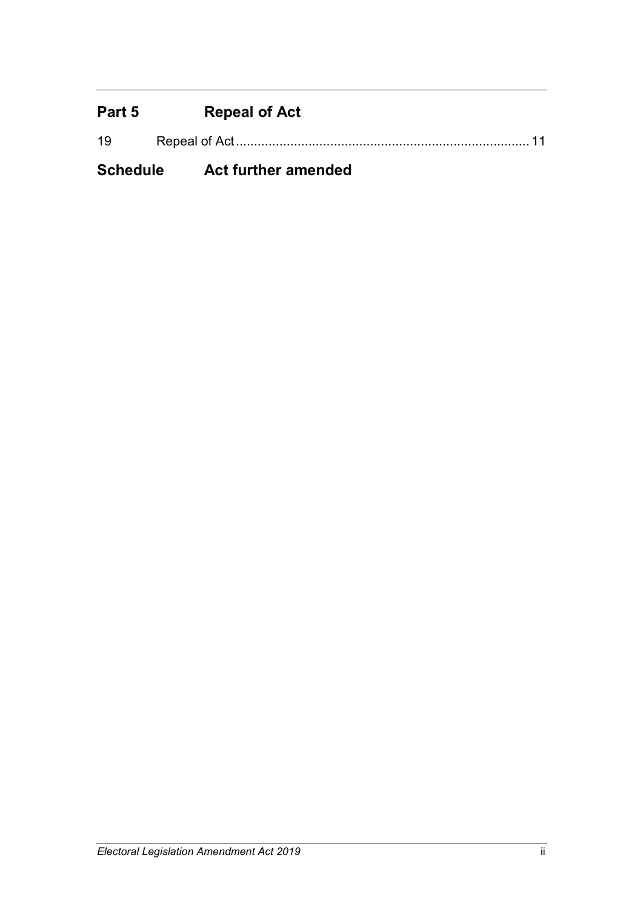# **Part 5 Repeal of Act** 19 Repeal of Act................................................................................. 11 **Schedule Act further amended**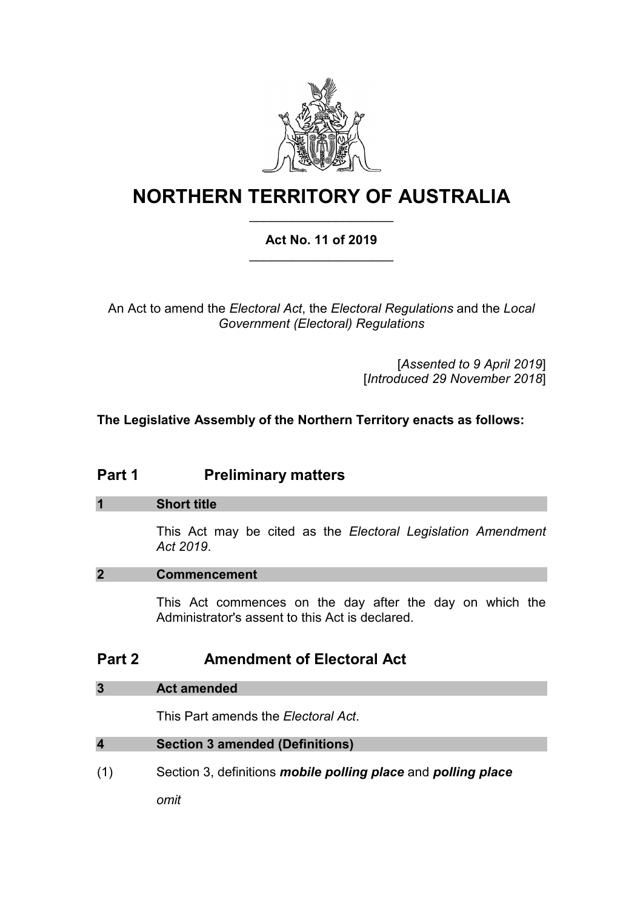

## **NORTHERN TERRITORY OF AUSTRALIA** \_\_\_\_\_\_\_\_\_\_\_\_\_\_\_\_\_\_\_\_

### **Act No. 11 of 2019** \_\_\_\_\_\_\_\_\_\_\_\_\_\_\_\_\_\_\_\_

An Act to amend the *Electoral Act*, the *Electoral Regulations* and the *Local Government (Electoral) Regulations*

> [*Assented to 9 April 2019*] [*Introduced 29 November 2018*]

**The Legislative Assembly of the Northern Territory enacts as follows:**

## **Part 1 Preliminary matters**

#### **1 Short title**

This Act may be cited as the *Electoral Legislation Amendment Act 2019*.

### **2 Commencement**

This Act commences on the day after the day on which the Administrator's assent to this Act is declared.

## **Part 2 Amendment of Electoral Act**

#### **3 Act amended**

This Part amends the *Electoral Act*.

#### **4 Section 3 amended (Definitions)**

(1) Section 3, definitions *mobile polling place* and *polling place*

*omit*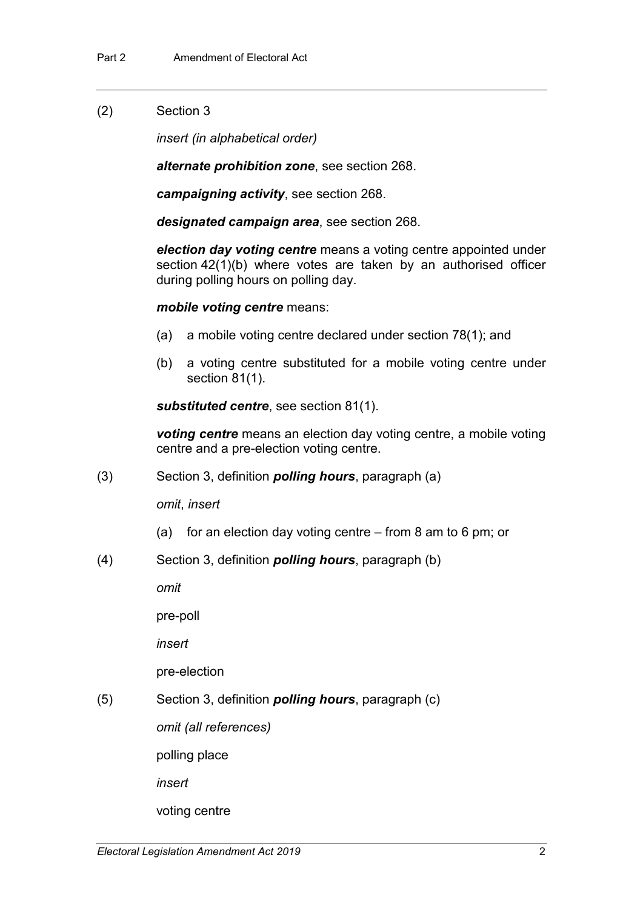#### (2) Section 3

*insert (in alphabetical order)*

*alternate prohibition zone*, see section 268.

*campaigning activity*, see section 268.

*designated campaign area*, see section 268.

*election day voting centre* means a voting centre appointed under section 42(1)(b) where votes are taken by an authorised officer during polling hours on polling day.

*mobile voting centre* means:

- (a) a mobile voting centre declared under section 78(1); and
- (b) a voting centre substituted for a mobile voting centre under section 81(1).

*substituted centre*, see section 81(1).

*voting centre* means an election day voting centre, a mobile voting centre and a pre-election voting centre.

(3) Section 3, definition *polling hours*, paragraph (a)

*omit*, *insert*

- (a) for an election day voting centre from 8 am to 6 pm; or
- (4) Section 3, definition *polling hours*, paragraph (b)

*omit*

pre-poll

*insert*

pre-election

(5) Section 3, definition *polling hours*, paragraph (c)

*omit (all references)*

polling place

*insert*

voting centre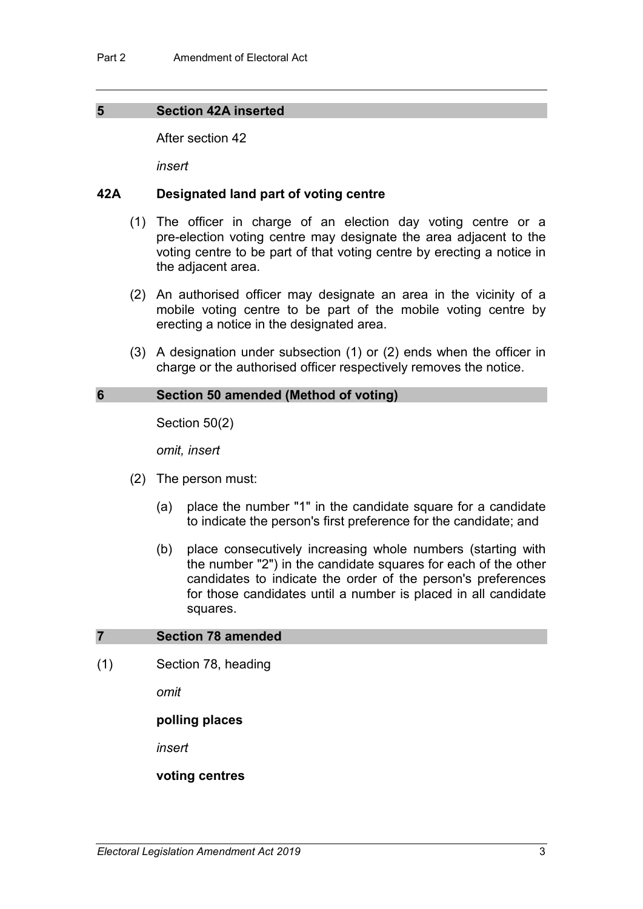#### **5 Section 42A inserted**

After section 42

*insert*

#### **42A Designated land part of voting centre**

- (1) The officer in charge of an election day voting centre or a pre-election voting centre may designate the area adjacent to the voting centre to be part of that voting centre by erecting a notice in the adjacent area.
- (2) An authorised officer may designate an area in the vicinity of a mobile voting centre to be part of the mobile voting centre by erecting a notice in the designated area.
- (3) A designation under subsection (1) or (2) ends when the officer in charge or the authorised officer respectively removes the notice.

#### **6 Section 50 amended (Method of voting)**

Section 50(2)

*omit, insert*

- (2) The person must:
	- (a) place the number "1" in the candidate square for a candidate to indicate the person's first preference for the candidate; and
	- (b) place consecutively increasing whole numbers (starting with the number "2") in the candidate squares for each of the other candidates to indicate the order of the person's preferences for those candidates until a number is placed in all candidate squares.

#### **7 Section 78 amended**

(1) Section 78, heading

*omit*

**polling places**

*insert*

#### **voting centres**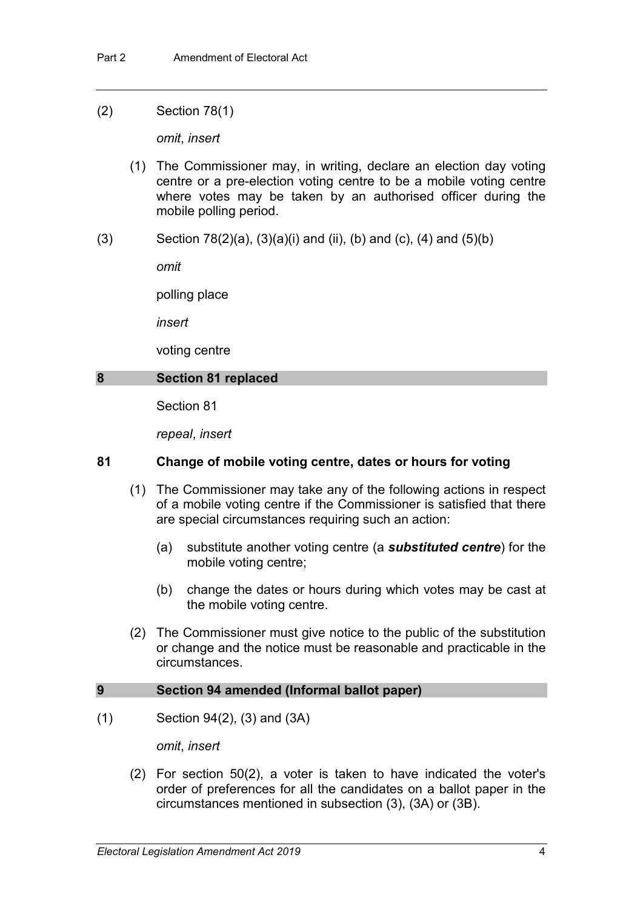(2) Section 78(1)

*omit*, *insert*

- (1) The Commissioner may, in writing, declare an election day voting centre or a pre-election voting centre to be a mobile voting centre where votes may be taken by an authorised officer during the mobile polling period.
- (3) Section  $78(2)(a)$ ,  $(3)(a)(i)$  and  $(ii)$ ,  $(b)$  and  $(c)$ ,  $(4)$  and  $(5)(b)$

*omit*

polling place

*insert*

voting centre

#### **8 Section 81 replaced**

Section 81

*repeal*, *insert*

#### **81 Change of mobile voting centre, dates or hours for voting**

- (1) The Commissioner may take any of the following actions in respect of a mobile voting centre if the Commissioner is satisfied that there are special circumstances requiring such an action:
	- (a) substitute another voting centre (a *substituted centre*) for the mobile voting centre;
	- (b) change the dates or hours during which votes may be cast at the mobile voting centre.
- (2) The Commissioner must give notice to the public of the substitution or change and the notice must be reasonable and practicable in the circumstances.

#### **9 Section 94 amended (Informal ballot paper)**

(1) Section 94(2), (3) and (3A)

*omit*, *insert*

(2) For section 50(2), a voter is taken to have indicated the voter's order of preferences for all the candidates on a ballot paper in the circumstances mentioned in subsection (3), (3A) or (3B).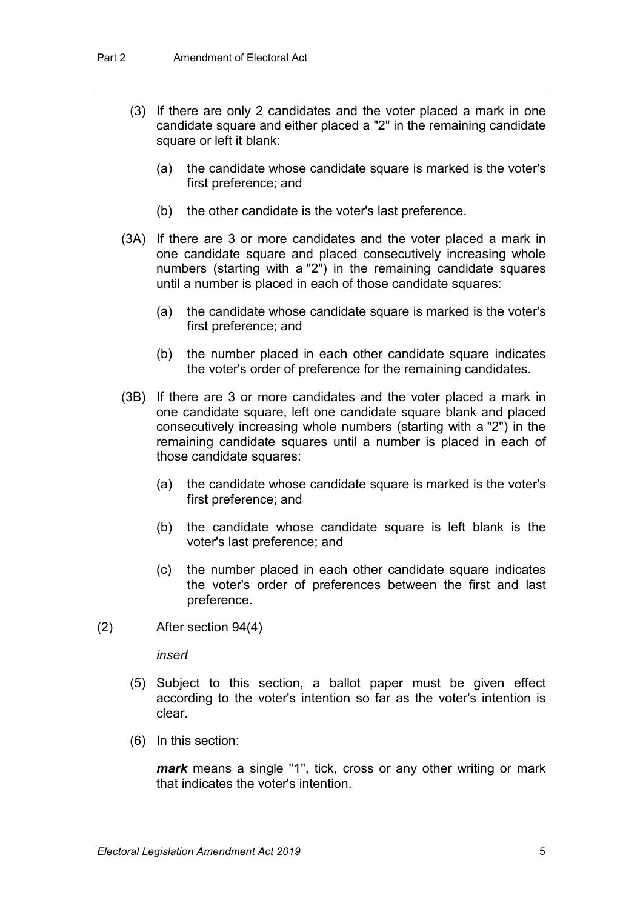- (3) If there are only 2 candidates and the voter placed a mark in one candidate square and either placed a "2" in the remaining candidate square or left it blank:
	- (a) the candidate whose candidate square is marked is the voter's first preference; and
	- (b) the other candidate is the voter's last preference.
- (3A) If there are 3 or more candidates and the voter placed a mark in one candidate square and placed consecutively increasing whole numbers (starting with a "2") in the remaining candidate squares until a number is placed in each of those candidate squares:
	- (a) the candidate whose candidate square is marked is the voter's first preference; and
	- (b) the number placed in each other candidate square indicates the voter's order of preference for the remaining candidates.
- (3B) If there are 3 or more candidates and the voter placed a mark in one candidate square, left one candidate square blank and placed consecutively increasing whole numbers (starting with a "2") in the remaining candidate squares until a number is placed in each of those candidate squares:
	- (a) the candidate whose candidate square is marked is the voter's first preference; and
	- (b) the candidate whose candidate square is left blank is the voter's last preference; and
	- (c) the number placed in each other candidate square indicates the voter's order of preferences between the first and last preference.
- (2) After section 94(4)

*insert*

- (5) Subject to this section, a ballot paper must be given effect according to the voter's intention so far as the voter's intention is clear.
- (6) In this section:

*mark* means a single "1", tick, cross or any other writing or mark that indicates the voter's intention.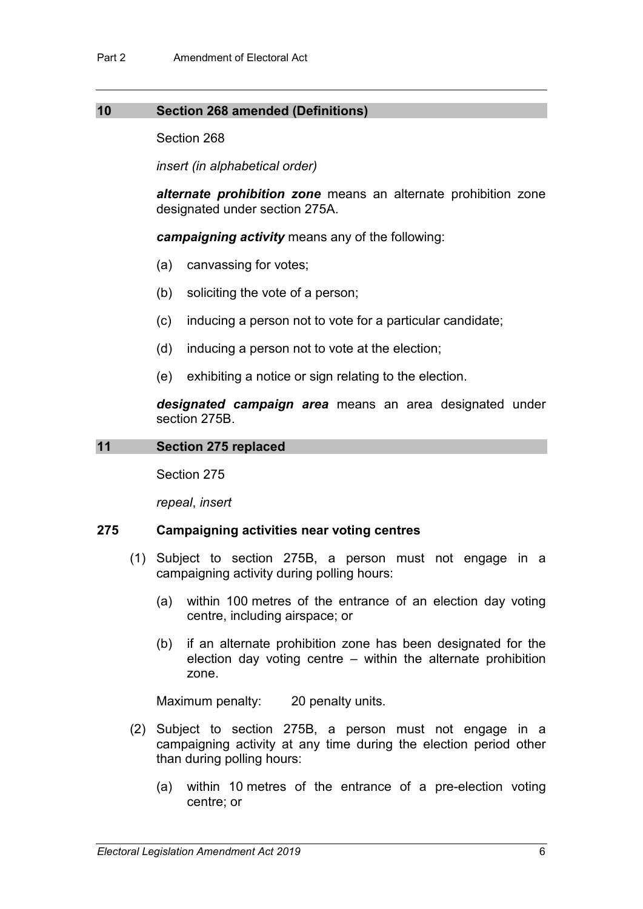#### **10 Section 268 amended (Definitions)**

Section 268

*insert (in alphabetical order)*

*alternate prohibition zone* means an alternate prohibition zone designated under section 275A.

*campaigning activity* means any of the following:

- (a) canvassing for votes;
- (b) soliciting the vote of a person;
- (c) inducing a person not to vote for a particular candidate;
- (d) inducing a person not to vote at the election;
- (e) exhibiting a notice or sign relating to the election.

*designated campaign area* means an area designated under section 275B.

#### **11 Section 275 replaced**

Section 275

*repeal*, *insert*

#### **275 Campaigning activities near voting centres**

- (1) Subject to section 275B, a person must not engage in a campaigning activity during polling hours:
	- (a) within 100 metres of the entrance of an election day voting centre, including airspace; or
	- (b) if an alternate prohibition zone has been designated for the election day voting centre – within the alternate prohibition zone.

Maximum penalty: 20 penalty units.

- (2) Subject to section 275B, a person must not engage in a campaigning activity at any time during the election period other than during polling hours:
	- (a) within 10 metres of the entrance of a pre-election voting centre; or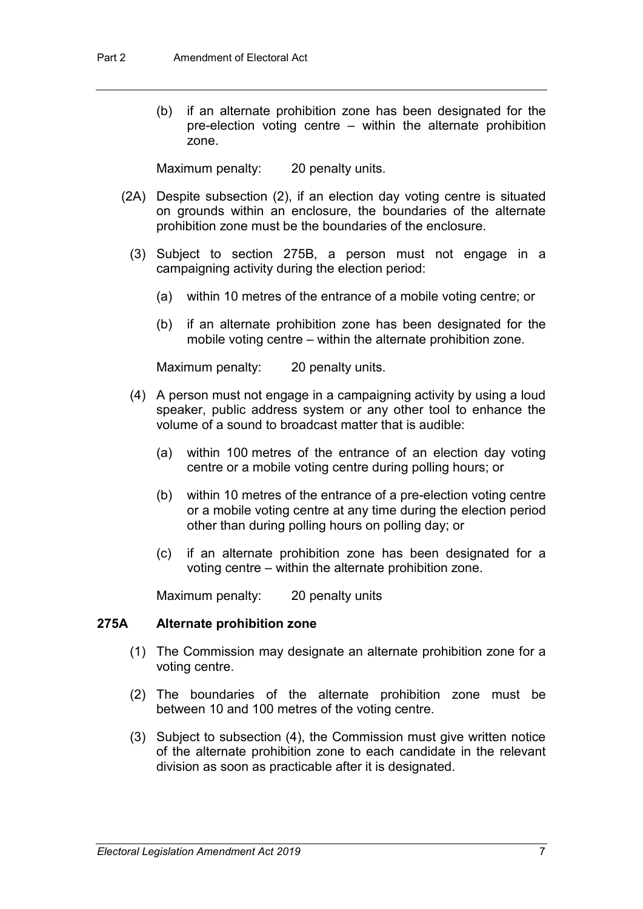(b) if an alternate prohibition zone has been designated for the pre-election voting centre – within the alternate prohibition zone.

Maximum penalty: 20 penalty units.

- (2A) Despite subsection (2), if an election day voting centre is situated on grounds within an enclosure, the boundaries of the alternate prohibition zone must be the boundaries of the enclosure.
	- (3) Subject to section 275B, a person must not engage in a campaigning activity during the election period:
		- (a) within 10 metres of the entrance of a mobile voting centre; or
		- (b) if an alternate prohibition zone has been designated for the mobile voting centre – within the alternate prohibition zone.

Maximum penalty: 20 penalty units.

- (4) A person must not engage in a campaigning activity by using a loud speaker, public address system or any other tool to enhance the volume of a sound to broadcast matter that is audible:
	- (a) within 100 metres of the entrance of an election day voting centre or a mobile voting centre during polling hours; or
	- (b) within 10 metres of the entrance of a pre-election voting centre or a mobile voting centre at any time during the election period other than during polling hours on polling day; or
	- (c) if an alternate prohibition zone has been designated for a voting centre – within the alternate prohibition zone.

Maximum penalty: 20 penalty units

#### **275A Alternate prohibition zone**

- (1) The Commission may designate an alternate prohibition zone for a voting centre.
- (2) The boundaries of the alternate prohibition zone must be between 10 and 100 metres of the voting centre.
- (3) Subject to subsection (4), the Commission must give written notice of the alternate prohibition zone to each candidate in the relevant division as soon as practicable after it is designated.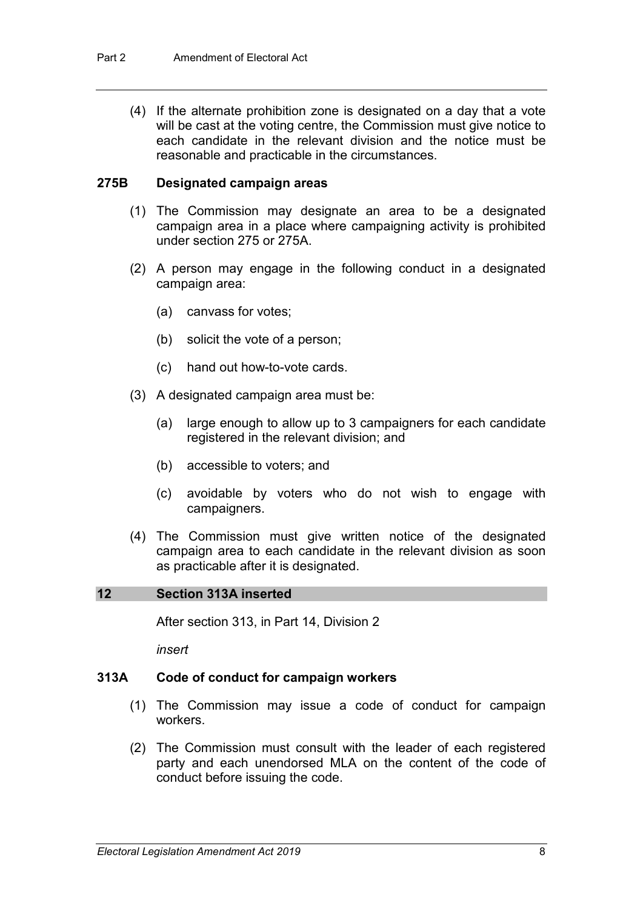(4) If the alternate prohibition zone is designated on a day that a vote will be cast at the voting centre, the Commission must give notice to each candidate in the relevant division and the notice must be reasonable and practicable in the circumstances.

#### **275B Designated campaign areas**

- (1) The Commission may designate an area to be a designated campaign area in a place where campaigning activity is prohibited under section 275 or 275A.
- (2) A person may engage in the following conduct in a designated campaign area:
	- (a) canvass for votes;
	- (b) solicit the vote of a person;
	- (c) hand out how-to-vote cards.
- (3) A designated campaign area must be:
	- (a) large enough to allow up to 3 campaigners for each candidate registered in the relevant division; and
	- (b) accessible to voters; and
	- (c) avoidable by voters who do not wish to engage with campaigners.
- (4) The Commission must give written notice of the designated campaign area to each candidate in the relevant division as soon as practicable after it is designated.

#### **12 Section 313A inserted**

After section 313, in Part 14, Division 2

*insert*

#### **313A Code of conduct for campaign workers**

- (1) The Commission may issue a code of conduct for campaign workers.
- (2) The Commission must consult with the leader of each registered party and each unendorsed MLA on the content of the code of conduct before issuing the code.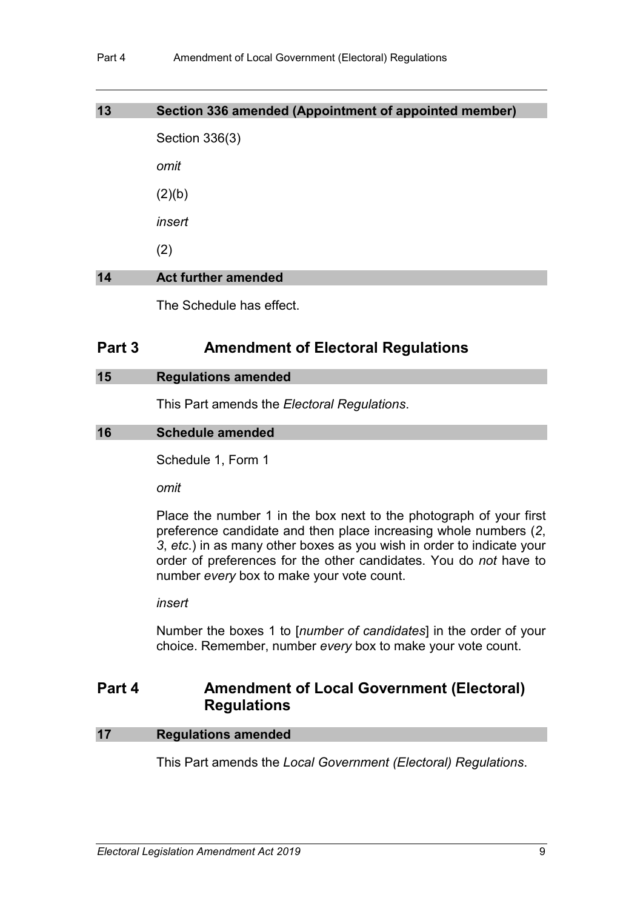| 13 | Section 336 amended (Appointment of appointed member) |
|----|-------------------------------------------------------|
|    | Section $336(3)$                                      |
|    | omit                                                  |
|    | (2)(b)                                                |
|    | insert                                                |
|    | (2)                                                   |
| 14 | <b>Act further amended</b>                            |
|    | The Schedule has effect.                              |

### **Part 3 Amendment of Electoral Regulations**

#### **15 Regulations amended**

This Part amends the *Electoral Regulations*.

#### **16 Schedule amended**

Schedule 1, Form 1

*omit*

Place the number 1 in the box next to the photograph of your first preference candidate and then place increasing whole numbers (*2*, *3*, *etc*.) in as many other boxes as you wish in order to indicate your order of preferences for the other candidates. You do *not* have to number *every* box to make your vote count.

*insert*

Number the boxes 1 to [*number of candidates*] in the order of your choice. Remember, number *every* box to make your vote count.

## **Part 4 Amendment of Local Government (Electoral) Regulations**

#### **17 Regulations amended**

This Part amends the *Local Government (Electoral) Regulations*.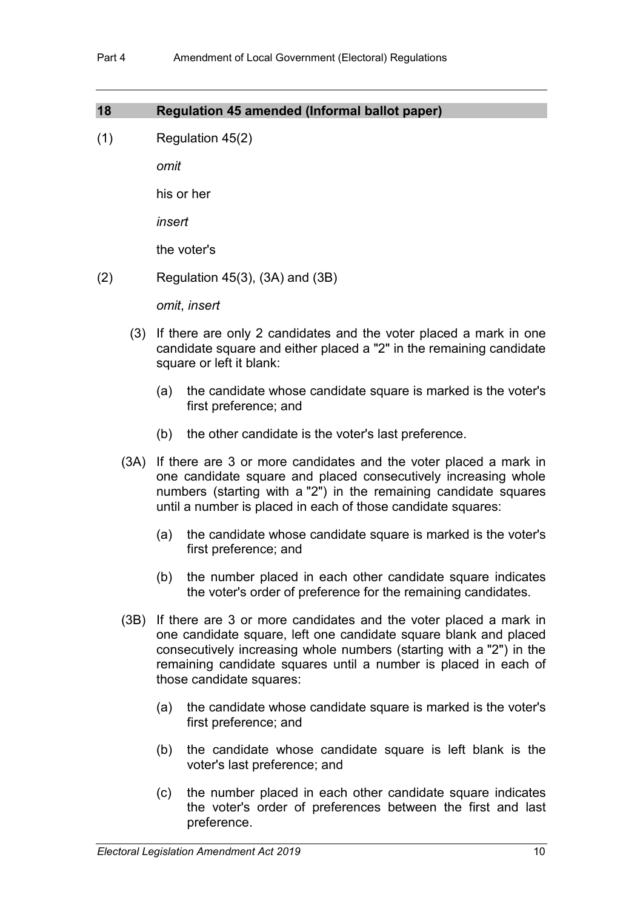#### **18 Regulation 45 amended (Informal ballot paper)**

(1) Regulation 45(2)

*omit*

his or her

*insert*

the voter's

(2) Regulation 45(3), (3A) and (3B)

*omit*, *insert*

- (3) If there are only 2 candidates and the voter placed a mark in one candidate square and either placed a "2" in the remaining candidate square or left it blank:
	- (a) the candidate whose candidate square is marked is the voter's first preference; and
	- (b) the other candidate is the voter's last preference.
- (3A) If there are 3 or more candidates and the voter placed a mark in one candidate square and placed consecutively increasing whole numbers (starting with a "2") in the remaining candidate squares until a number is placed in each of those candidate squares:
	- (a) the candidate whose candidate square is marked is the voter's first preference; and
	- (b) the number placed in each other candidate square indicates the voter's order of preference for the remaining candidates.
- (3B) If there are 3 or more candidates and the voter placed a mark in one candidate square, left one candidate square blank and placed consecutively increasing whole numbers (starting with a "2") in the remaining candidate squares until a number is placed in each of those candidate squares:
	- (a) the candidate whose candidate square is marked is the voter's first preference; and
	- (b) the candidate whose candidate square is left blank is the voter's last preference; and
	- (c) the number placed in each other candidate square indicates the voter's order of preferences between the first and last preference.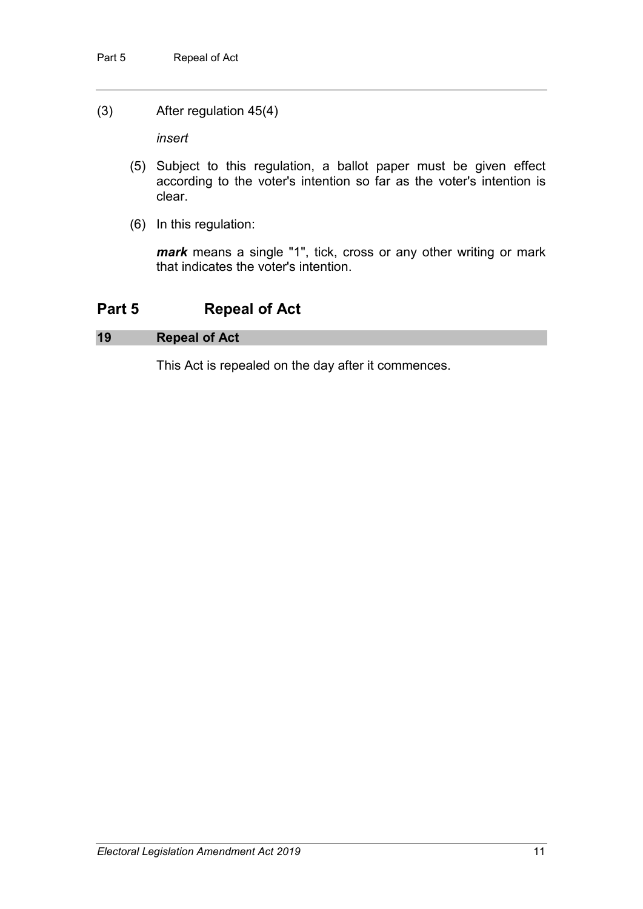(3) After regulation 45(4)

*insert*

- (5) Subject to this regulation, a ballot paper must be given effect according to the voter's intention so far as the voter's intention is clear.
- (6) In this regulation:

*mark* means a single "1", tick, cross or any other writing or mark that indicates the voter's intention.

## **Part 5 Repeal of Act**

#### **19 Repeal of Act**

This Act is repealed on the day after it commences.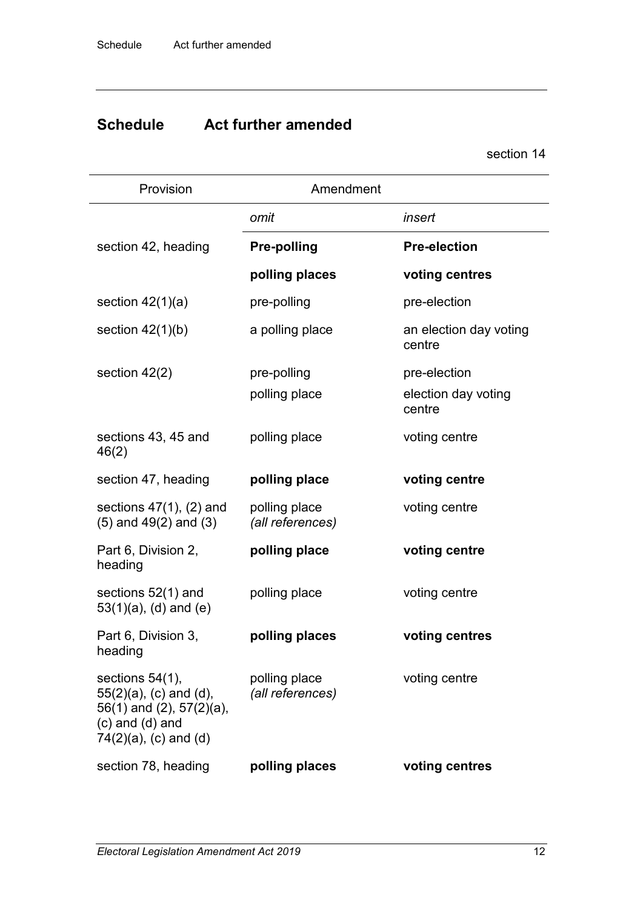## **Schedule Act further amended**

section 14

| Provision                                                                                                                           | Amendment                         |                                  |
|-------------------------------------------------------------------------------------------------------------------------------------|-----------------------------------|----------------------------------|
|                                                                                                                                     | omit                              | insert                           |
| section 42, heading                                                                                                                 | <b>Pre-polling</b>                | <b>Pre-election</b>              |
|                                                                                                                                     | polling places                    | voting centres                   |
| section $42(1)(a)$                                                                                                                  | pre-polling                       | pre-election                     |
| section $42(1)(b)$                                                                                                                  | a polling place                   | an election day voting<br>centre |
| section $42(2)$                                                                                                                     | pre-polling                       | pre-election                     |
|                                                                                                                                     | polling place                     | election day voting<br>centre    |
| sections 43, 45 and<br>46(2)                                                                                                        | polling place                     | voting centre                    |
| section 47, heading                                                                                                                 | polling place                     | voting centre                    |
| sections $47(1)$ , $(2)$ and<br>$(5)$ and $49(2)$ and $(3)$                                                                         | polling place<br>(all references) | voting centre                    |
| Part 6, Division 2,<br>heading                                                                                                      | polling place                     | voting centre                    |
| sections $52(1)$ and<br>$53(1)(a)$ , (d) and (e)                                                                                    | polling place                     | voting centre                    |
| Part 6, Division 3,<br>heading                                                                                                      | polling places                    | voting centres                   |
| sections $54(1)$ ,<br>55(2)(a), (c) and (d),<br>$56(1)$ and $(2)$ , $57(2)(a)$ ,<br>$(c)$ and $(d)$ and<br>$74(2)(a)$ , (c) and (d) | polling place<br>(all references) | voting centre                    |
| section 78, heading                                                                                                                 | polling places                    | voting centres                   |